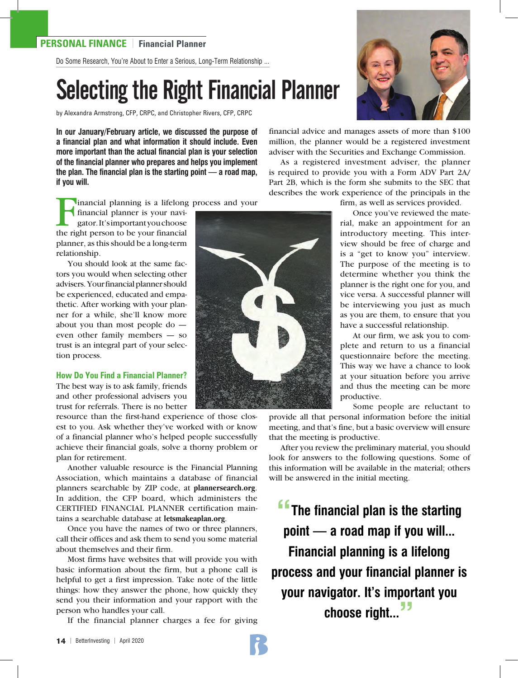Do Some Research, You're About to Enter a Serious, Long-Term Relationship ...

# Selecting the Right Financial Planner

by Alexandra Armstrong, CFP, CRPC, and Christopher Rivers, CFP, CRPC

**In our January/February article, we discussed the purpose of a financial plan and what information it should include. Even more important than the actual financial plan is your selection of the financial planner who prepares and helps you implement the plan. The financial plan is the starting point — a road map, if you will.** 

financial advice and manages assets of more than \$100 million, the planner would be a registered investment adviser with the Securities and Exchange Commission.

As a registered investment adviser, the planner is required to provide you with a Form ADV Part 2A/ Part 2B, which is the form she submits to the SEC that describes the work experience of the principals in the

inancial planning is a lifelong process and your

financial planner is your navigator. It's important you choose the right person to be your financial planner, as this should be a long-term relationship.

You should look at the same factors you would when selecting other advisers. Your financial planner should be experienced, educated and empathetic. After working with your planner for a while, she'll know more about you than most people do even other family members — so trust is an integral part of your selection process.

#### **How Do You Find a Financial Planner?**

The best way is to ask family, friends and other professional advisers you trust for referrals. There is no better

resource than the first-hand experience of those closest to you. Ask whether they've worked with or know of a financial planner who's helped people successfully achieve their financial goals, solve a thorny problem or plan for retirement.

Another valuable resource is the Financial Planning Association, which maintains a database of financial planners searchable by ZIP code, at **plannersearch.org**. In addition, the CFP board, which administers the CERTIFIED FINANCIAL PLANNER certification maintains a searchable database at **letsmakeaplan.org**.

Once you have the names of two or three planners, call their offices and ask them to send you some material about themselves and their firm.

Most firms have websites that will provide you with basic information about the firm, but a phone call is helpful to get a first impression. Take note of the little things: how they answer the phone, how quickly they send you their information and your rapport with the person who handles your call.

If the financial planner charges a fee for giving



 Once you've reviewed the material, make an appointment for an introductory meeting. This interview should be free of charge and is a "get to know you" interview. The purpose of the meeting is to determine whether you think the planner is the right one for you, and vice versa. A successful planner will be interviewing you just as much as you are them, to ensure that you have a successful relationship.

 At our firm, we ask you to complete and return to us a financial questionnaire before the meeting. This way we have a chance to look at your situation before you arrive and thus the meeting can be more productive.

Some people are reluctant to

provide all that personal information before the initial meeting, and that's fine, but a basic overview will ensure that the meeting is productive.

After you review the preliminary material, you should look for answers to the following questions. Some of this information will be available in the material; others will be answered in the initial meeting.

**"The financial plan is the starting point — a road map if you will... Financial planning is a lifelong process and your financial planner is your navigator. It's important you choose right..."**



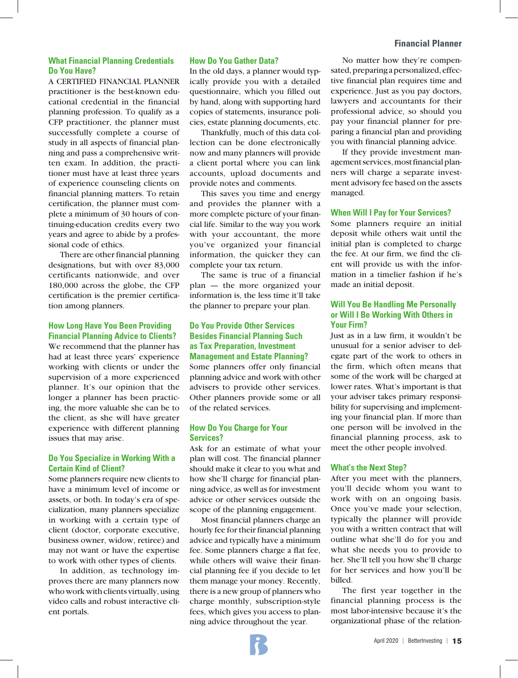# **What Financial Planning Credentials Do You Have?**

A CERTIFIED FINANCIAL PLANNER practitioner is the best-known educational credential in the financial planning profession. To qualify as a CFP practitioner, the planner must successfully complete a course of study in all aspects of financial planning and pass a comprehensive written exam. In addition, the practitioner must have at least three years of experience counseling clients on financial planning matters. To retain certification, the planner must complete a minimum of 30 hours of continuing-education credits every two years and agree to abide by a professional code of ethics.

There are other financial planning designations, but with over 83,000 certificants nationwide, and over 180,000 across the globe, the CFP certification is the premier certification among planners.

## **How Long Have You Been Providing Financial Planning Advice to Clients?**

We recommend that the planner has had at least three years' experience working with clients or under the supervision of a more experienced planner. It's our opinion that the longer a planner has been practicing, the more valuable she can be to the client, as she will have greater experience with different planning issues that may arise.

## **Do You Specialize in Working With a Certain Kind of Client?**

Some planners require new clients to have a minimum level of income or assets, or both. In today's era of specialization, many planners specialize in working with a certain type of client (doctor, corporate executive, business owner, widow, retiree) and may not want or have the expertise to work with other types of clients.

In addition, as technology improves there are many planners now who work with clients virtually, using video calls and robust interactive client portals.

#### **How Do You Gather Data?**

In the old days, a planner would typically provide you with a detailed questionnaire, which you filled out by hand, along with supporting hard copies of statements, insurance policies, estate planning documents, etc.

Thankfully, much of this data collection can be done electronically now and many planners will provide a client portal where you can link accounts, upload documents and provide notes and comments.

This saves you time and energy and provides the planner with a more complete picture of your financial life. Similar to the way you work with your accountant, the more you've organized your financial information, the quicker they can complete your tax return.

The same is true of a financial plan — the more organized your information is, the less time it'll take the planner to prepare your plan.

# **Do You Provide Other Services Besides Financial Planning Such as Tax Preparation, Investment Management and Estate Planning?**

Some planners offer only financial planning advice and work with other advisers to provide other services. Other planners provide some or all of the related services.

## **How Do You Charge for Your Services?**

Ask for an estimate of what your plan will cost. The financial planner should make it clear to you what and how she'll charge for financial planning advice, as well as for investment advice or other services outside the scope of the planning engagement.

Most financial planners charge an hourly fee for their financial planning advice and typically have a minimum fee. Some planners charge a flat fee, while others will waive their financial planning fee if you decide to let them manage your money. Recently, there is a new group of planners who charge monthly, subscription-style fees, which gives you access to planning advice throughout the year.

No matter how they're compensated, preparing a personalized, effective financial plan requires time and experience. Just as you pay doctors, lawyers and accountants for their professional advice, so should you pay your financial planner for preparing a financial plan and providing you with financial planning advice.

If they provide investment management services, most financial planners will charge a separate investment advisory fee based on the assets managed.

### **When Will I Pay for Your Services?**

Some planners require an initial deposit while others wait until the initial plan is completed to charge the fee. At our firm, we find the client will provide us with the information in a timelier fashion if he's made an initial deposit.

# **Will You Be Handling Me Personally or Will I Be Working With Others in Your Firm?**

Just as in a law firm, it wouldn't be unusual for a senior adviser to delegate part of the work to others in the firm, which often means that some of the work will be charged at lower rates. What's important is that your adviser takes primary responsibility for supervising and implementing your financial plan. If more than one person will be involved in the financial planning process, ask to meet the other people involved.

#### **What's the Next Step?**

After you meet with the planners, you'll decide whom you want to work with on an ongoing basis. Once you've made your selection, typically the planner will provide you with a written contract that will outline what she'll do for you and what she needs you to provide to her. She'll tell you how she'll charge for her services and how you'll be billed.

The first year together in the financial planning process is the most labor-intensive because it's the organizational phase of the relation-